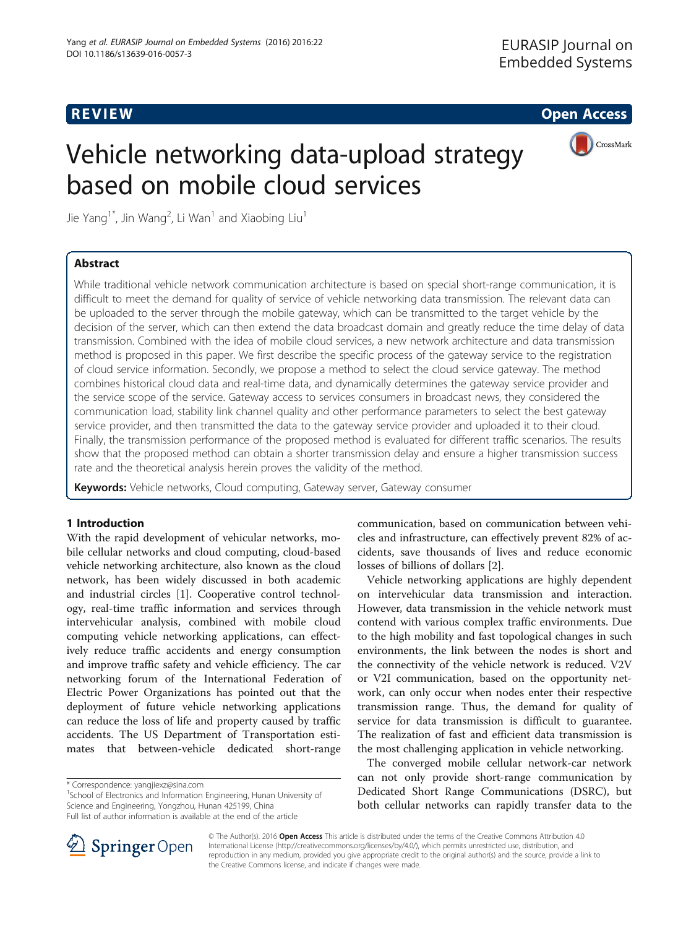**REVIEW CONSTRUCTION CONSTRUCTION CONSTRUCTS** 

# Vehicle networking data-upload strategy based on mobile cloud services



Jie Yang<sup>1\*</sup>, Jin Wang<sup>2</sup>, Li Wan<sup>1</sup> and Xiaobing Liu<sup>1</sup>

# Abstract

While traditional vehicle network communication architecture is based on special short-range communication, it is difficult to meet the demand for quality of service of vehicle networking data transmission. The relevant data can be uploaded to the server through the mobile gateway, which can be transmitted to the target vehicle by the decision of the server, which can then extend the data broadcast domain and greatly reduce the time delay of data transmission. Combined with the idea of mobile cloud services, a new network architecture and data transmission method is proposed in this paper. We first describe the specific process of the gateway service to the registration of cloud service information. Secondly, we propose a method to select the cloud service gateway. The method combines historical cloud data and real-time data, and dynamically determines the gateway service provider and the service scope of the service. Gateway access to services consumers in broadcast news, they considered the communication load, stability link channel quality and other performance parameters to select the best gateway service provider, and then transmitted the data to the gateway service provider and uploaded it to their cloud. Finally, the transmission performance of the proposed method is evaluated for different traffic scenarios. The results show that the proposed method can obtain a shorter transmission delay and ensure a higher transmission success rate and the theoretical analysis herein proves the validity of the method.

Keywords: Vehicle networks, Cloud computing, Gateway server, Gateway consumer

# 1 Introduction

With the rapid development of vehicular networks, mobile cellular networks and cloud computing, cloud-based vehicle networking architecture, also known as the cloud network, has been widely discussed in both academic and industrial circles [\[1](#page-7-0)]. Cooperative control technology, real-time traffic information and services through intervehicular analysis, combined with mobile cloud computing vehicle networking applications, can effectively reduce traffic accidents and energy consumption and improve traffic safety and vehicle efficiency. The car networking forum of the International Federation of Electric Power Organizations has pointed out that the deployment of future vehicle networking applications can reduce the loss of life and property caused by traffic accidents. The US Department of Transportation estimates that between-vehicle dedicated short-range

<sup>1</sup>School of Electronics and Information Engineering, Hunan University of Science and Engineering, Yongzhou, Hunan 425199, China Full list of author information is available at the end of the article

communication, based on communication between vehicles and infrastructure, can effectively prevent 82% of accidents, save thousands of lives and reduce economic losses of billions of dollars [\[2](#page-7-0)].

Vehicle networking applications are highly dependent on intervehicular data transmission and interaction. However, data transmission in the vehicle network must contend with various complex traffic environments. Due to the high mobility and fast topological changes in such environments, the link between the nodes is short and the connectivity of the vehicle network is reduced. V2V or V2I communication, based on the opportunity network, can only occur when nodes enter their respective transmission range. Thus, the demand for quality of service for data transmission is difficult to guarantee. The realization of fast and efficient data transmission is the most challenging application in vehicle networking.

The converged mobile cellular network-car network can not only provide short-range communication by Dedicated Short Range Communications (DSRC), but both cellular networks can rapidly transfer data to the



© The Author(s). 2016 Open Access This article is distributed under the terms of the Creative Commons Attribution 4.0 International License ([http://creativecommons.org/licenses/by/4.0/\)](http://creativecommons.org/licenses/by/4.0/), which permits unrestricted use, distribution, and reproduction in any medium, provided you give appropriate credit to the original author(s) and the source, provide a link to the Creative Commons license, and indicate if changes were made.

<sup>\*</sup> Correspondence: [yangjiexz@sina.com](mailto:yangjiexz@sina.com) <sup>1</sup>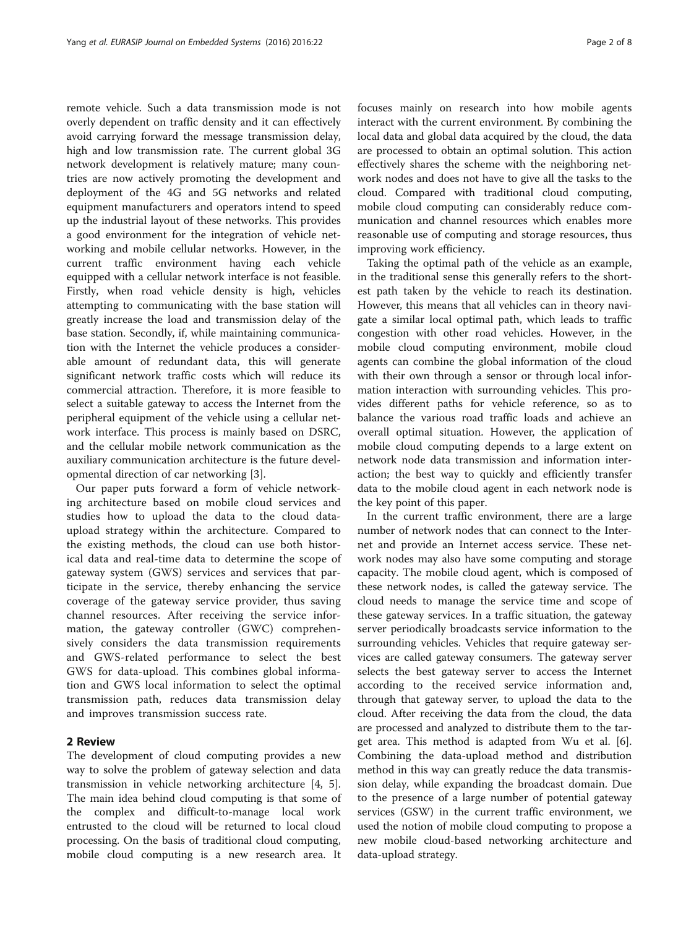remote vehicle. Such a data transmission mode is not overly dependent on traffic density and it can effectively avoid carrying forward the message transmission delay, high and low transmission rate. The current global 3G network development is relatively mature; many countries are now actively promoting the development and deployment of the 4G and 5G networks and related equipment manufacturers and operators intend to speed up the industrial layout of these networks. This provides a good environment for the integration of vehicle networking and mobile cellular networks. However, in the current traffic environment having each vehicle equipped with a cellular network interface is not feasible. Firstly, when road vehicle density is high, vehicles attempting to communicating with the base station will greatly increase the load and transmission delay of the base station. Secondly, if, while maintaining communication with the Internet the vehicle produces a considerable amount of redundant data, this will generate significant network traffic costs which will reduce its commercial attraction. Therefore, it is more feasible to select a suitable gateway to access the Internet from the peripheral equipment of the vehicle using a cellular network interface. This process is mainly based on DSRC, and the cellular mobile network communication as the auxiliary communication architecture is the future developmental direction of car networking [\[3](#page-7-0)].

Our paper puts forward a form of vehicle networking architecture based on mobile cloud services and studies how to upload the data to the cloud dataupload strategy within the architecture. Compared to the existing methods, the cloud can use both historical data and real-time data to determine the scope of gateway system (GWS) services and services that participate in the service, thereby enhancing the service coverage of the gateway service provider, thus saving channel resources. After receiving the service information, the gateway controller (GWC) comprehensively considers the data transmission requirements and GWS-related performance to select the best GWS for data-upload. This combines global information and GWS local information to select the optimal transmission path, reduces data transmission delay and improves transmission success rate.

# 2 Review

The development of cloud computing provides a new way to solve the problem of gateway selection and data transmission in vehicle networking architecture [\[4](#page-7-0), [5](#page-7-0)]. The main idea behind cloud computing is that some of the complex and difficult-to-manage local work entrusted to the cloud will be returned to local cloud processing. On the basis of traditional cloud computing, mobile cloud computing is a new research area. It

focuses mainly on research into how mobile agents interact with the current environment. By combining the local data and global data acquired by the cloud, the data are processed to obtain an optimal solution. This action effectively shares the scheme with the neighboring network nodes and does not have to give all the tasks to the cloud. Compared with traditional cloud computing, mobile cloud computing can considerably reduce communication and channel resources which enables more reasonable use of computing and storage resources, thus improving work efficiency.

Taking the optimal path of the vehicle as an example, in the traditional sense this generally refers to the shortest path taken by the vehicle to reach its destination. However, this means that all vehicles can in theory navigate a similar local optimal path, which leads to traffic congestion with other road vehicles. However, in the mobile cloud computing environment, mobile cloud agents can combine the global information of the cloud with their own through a sensor or through local information interaction with surrounding vehicles. This provides different paths for vehicle reference, so as to balance the various road traffic loads and achieve an overall optimal situation. However, the application of mobile cloud computing depends to a large extent on network node data transmission and information interaction; the best way to quickly and efficiently transfer data to the mobile cloud agent in each network node is the key point of this paper.

In the current traffic environment, there are a large number of network nodes that can connect to the Internet and provide an Internet access service. These network nodes may also have some computing and storage capacity. The mobile cloud agent, which is composed of these network nodes, is called the gateway service. The cloud needs to manage the service time and scope of these gateway services. In a traffic situation, the gateway server periodically broadcasts service information to the surrounding vehicles. Vehicles that require gateway services are called gateway consumers. The gateway server selects the best gateway server to access the Internet according to the received service information and, through that gateway server, to upload the data to the cloud. After receiving the data from the cloud, the data are processed and analyzed to distribute them to the target area. This method is adapted from Wu et al. [\[6](#page-7-0)]. Combining the data-upload method and distribution method in this way can greatly reduce the data transmission delay, while expanding the broadcast domain. Due to the presence of a large number of potential gateway services (GSW) in the current traffic environment, we used the notion of mobile cloud computing to propose a new mobile cloud-based networking architecture and data-upload strategy.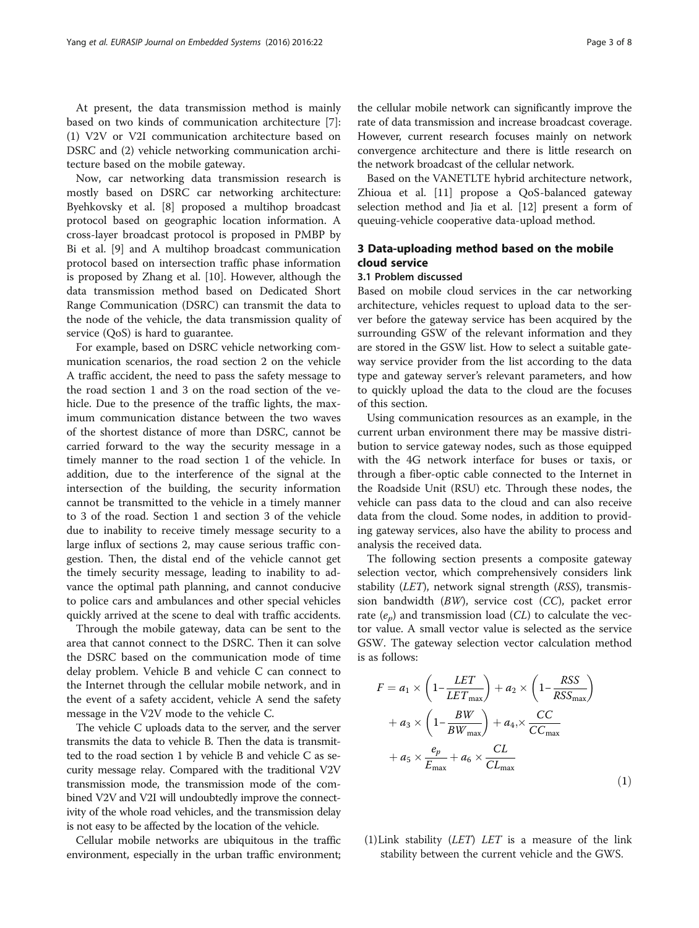At present, the data transmission method is mainly based on two kinds of communication architecture [\[7](#page-7-0)]: (1) V2V or V2I communication architecture based on DSRC and (2) vehicle networking communication architecture based on the mobile gateway.

Now, car networking data transmission research is mostly based on DSRC car networking architecture: Byehkovsky et al. [[8\]](#page-7-0) proposed a multihop broadcast protocol based on geographic location information. A cross-layer broadcast protocol is proposed in PMBP by Bi et al. [[9\]](#page-7-0) and A multihop broadcast communication protocol based on intersection traffic phase information is proposed by Zhang et al. [[10\]](#page-7-0). However, although the data transmission method based on Dedicated Short Range Communication (DSRC) can transmit the data to the node of the vehicle, the data transmission quality of service (QoS) is hard to guarantee.

For example, based on DSRC vehicle networking communication scenarios, the road section 2 on the vehicle A traffic accident, the need to pass the safety message to the road section 1 and 3 on the road section of the vehicle. Due to the presence of the traffic lights, the maximum communication distance between the two waves of the shortest distance of more than DSRC, cannot be carried forward to the way the security message in a timely manner to the road section 1 of the vehicle. In addition, due to the interference of the signal at the intersection of the building, the security information cannot be transmitted to the vehicle in a timely manner to 3 of the road. Section 1 and section 3 of the vehicle due to inability to receive timely message security to a large influx of sections 2, may cause serious traffic congestion. Then, the distal end of the vehicle cannot get the timely security message, leading to inability to advance the optimal path planning, and cannot conducive to police cars and ambulances and other special vehicles quickly arrived at the scene to deal with traffic accidents.

Through the mobile gateway, data can be sent to the area that cannot connect to the DSRC. Then it can solve the DSRC based on the communication mode of time delay problem. Vehicle B and vehicle C can connect to the Internet through the cellular mobile network, and in the event of a safety accident, vehicle A send the safety message in the V2V mode to the vehicle C.

The vehicle C uploads data to the server, and the server transmits the data to vehicle B. Then the data is transmitted to the road section 1 by vehicle B and vehicle C as security message relay. Compared with the traditional V2V transmission mode, the transmission mode of the combined V2V and V2I will undoubtedly improve the connectivity of the whole road vehicles, and the transmission delay is not easy to be affected by the location of the vehicle.

Cellular mobile networks are ubiquitous in the traffic environment, especially in the urban traffic environment;

the cellular mobile network can significantly improve the rate of data transmission and increase broadcast coverage. However, current research focuses mainly on network convergence architecture and there is little research on the network broadcast of the cellular network.

Based on the VANETLTE hybrid architecture network, Zhioua et al. [[11\]](#page-7-0) propose a QoS-balanced gateway selection method and Jia et al. [[12\]](#page-7-0) present a form of queuing-vehicle cooperative data-upload method.

# 3 Data-uploading method based on the mobile cloud service

# 3.1 Problem discussed

Based on mobile cloud services in the car networking architecture, vehicles request to upload data to the server before the gateway service has been acquired by the surrounding GSW of the relevant information and they are stored in the GSW list. How to select a suitable gateway service provider from the list according to the data type and gateway server's relevant parameters, and how to quickly upload the data to the cloud are the focuses of this section.

Using communication resources as an example, in the current urban environment there may be massive distribution to service gateway nodes, such as those equipped with the 4G network interface for buses or taxis, or through a fiber-optic cable connected to the Internet in the Roadside Unit (RSU) etc. Through these nodes, the vehicle can pass data to the cloud and can also receive data from the cloud. Some nodes, in addition to providing gateway services, also have the ability to process and analysis the received data.

The following section presents a composite gateway selection vector, which comprehensively considers link stability (LET), network signal strength (RSS), transmission bandwidth (BW), service cost (CC), packet error rate  $(e_n)$  and transmission load  $(CL)$  to calculate the vector value. A small vector value is selected as the service GSW. The gateway selection vector calculation method is as follows:

$$
F = a_1 \times \left(1 - \frac{LET}{LET_{max}}\right) + a_2 \times \left(1 - \frac{RSS}{RSS_{max}}\right) + a_3 \times \left(1 - \frac{BW}{BW_{max}}\right) + a_4 \times \frac{CC}{CC_{max}} + a_5 \times \frac{e_p}{E_{max}} + a_6 \times \frac{CL}{CL_{max}}
$$
(1)

(1)Link stability  $(LET)$  LET is a measure of the link stability between the current vehicle and the GWS.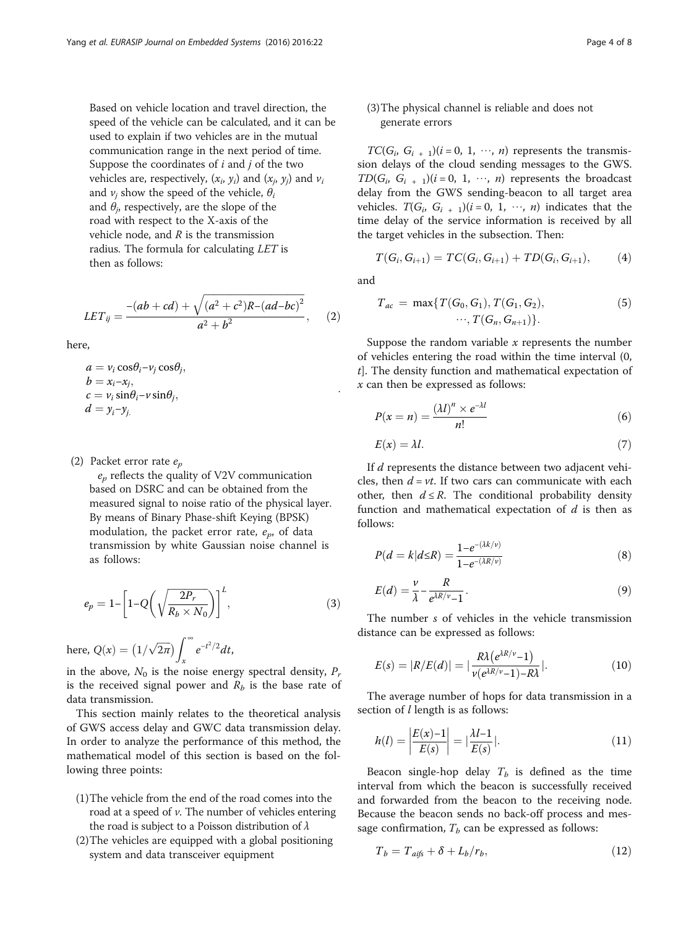Based on vehicle location and travel direction, the speed of the vehicle can be calculated, and it can be used to explain if two vehicles are in the mutual communication range in the next period of time. Suppose the coordinates of  $i$  and  $j$  of the two vehicles are, respectively,  $(x_i, y_i)$  and  $(x_j, y_j)$  and  $v_i$ and  $v_i$  show the speed of the vehicle,  $\theta_i$ and  $\theta_i$ , respectively, are the slope of the road with respect to the X-axis of the vehicle node, and  $R$  is the transmission radius. The formula for calculating LET is then as follows:

$$
LET_{ij} = \frac{-(ab+cd) + \sqrt{(a^2+c^2)R-(ad-bc)^2}}{a^2+b^2},
$$
 (2)

here,

$$
a = v_i \cos\theta_i - v_j \cos\theta_j, \nb = x_i - x_j, \nc = v_i \sin\theta_i - v \sin\theta_j, \nd = y_i - y_j.
$$

(2) Packet error rate  $e_p$ 

 $e_p$  reflects the quality of V2V communication based on DSRC and can be obtained from the measured signal to noise ratio of the physical layer. By means of Binary Phase-shift Keying (BPSK) modulation, the packet error rate,  $e_p$ , of data transmission by white Gaussian noise channel is as follows:

$$
e_p = 1 - \left[1 - Q\left(\sqrt{\frac{2P_r}{R_b \times N_0}}\right)\right]^L, \tag{3}
$$

here,  $Q(x) = \left(1/\sqrt{2\pi}\right) \int_x^{\infty}$  $e^{-t^2/2}dt$ 

in the above,  $N_0$  is the noise energy spectral density,  $P_r$ is the received signal power and  $R_b$  is the base rate of data transmission.

This section mainly relates to the theoretical analysis of GWS access delay and GWC data transmission delay. In order to analyze the performance of this method, the mathematical model of this section is based on the following three points:

- (1)The vehicle from the end of the road comes into the road at a speed of  $\nu$ . The number of vehicles entering the road is subject to a Poisson distribution of  $\lambda$
- (2)The vehicles are equipped with a global positioning system and data transceiver equipment

# (3)The physical channel is reliable and does not generate errors

 $TC(G_i, G_{i+1})(i=0, 1, \dots, n)$  represents the transmission delays of the cloud sending messages to the GWS.  $TD(G_i, G_{i+1})(i=0, 1, \cdots, n)$  represents the broadcast delay from the GWS sending-beacon to all target area vehicles.  $T(G_i, G_{i+1})(i=0, 1, \dots, n)$  indicates that the time delay of the service information is received by all the target vehicles in the subsection. Then:

$$
T(G_i, G_{i+1}) = TC(G_i, G_{i+1}) + TD(G_i, G_{i+1}), \qquad (4)
$$

and

:

$$
T_{ac} = \max\{T(G_0, G_1), T(G_1, G_2), \cdots, T(G_n, G_{n+1})\}.
$$
\n(5)

Suppose the random variable  $x$  represents the number of vehicles entering the road within the time interval (0, t]. The density function and mathematical expectation of x can then be expressed as follows:

$$
P(x = n) = \frac{(\lambda l)^n \times e^{-\lambda l}}{n!}
$$
 (6)

$$
E(x) = \lambda l. \tag{7}
$$

If d represents the distance between two adjacent vehicles, then  $d = vt$ . If two cars can communicate with each other, then  $d \leq R$ . The conditional probability density function and mathematical expectation of  $d$  is then as follows:

$$
P(d = k|d \le R) = \frac{1 - e^{-(\lambda k/\nu)}}{1 - e^{-(\lambda R/\nu)}}\tag{8}
$$

$$
E(d) = \frac{\nu}{\lambda} - \frac{R}{e^{\lambda R/\nu} - 1}.
$$
\n(9)

The number s of vehicles in the vehicle transmission distance can be expressed as follows:

$$
E(s) = |R/E(d)| = |\frac{R\lambda(e^{\lambda R/\nu} - 1)}{\nu(e^{\lambda R/\nu} - 1) - R\lambda}|.
$$
 (10)

The average number of hops for data transmission in a section of *l* length is as follows:

$$
h(l) = \left| \frac{E(x) - 1}{E(s)} \right| = \left| \frac{\lambda l - 1}{E(s)} \right|.
$$
 (11)

Beacon single-hop delay  $T_b$  is defined as the time interval from which the beacon is successfully received and forwarded from the beacon to the receiving node. Because the beacon sends no back-off process and message confirmation,  $T_b$  can be expressed as follows:

$$
T_b = T_{\text{aifs}} + \delta + L_b/r_b,\tag{12}
$$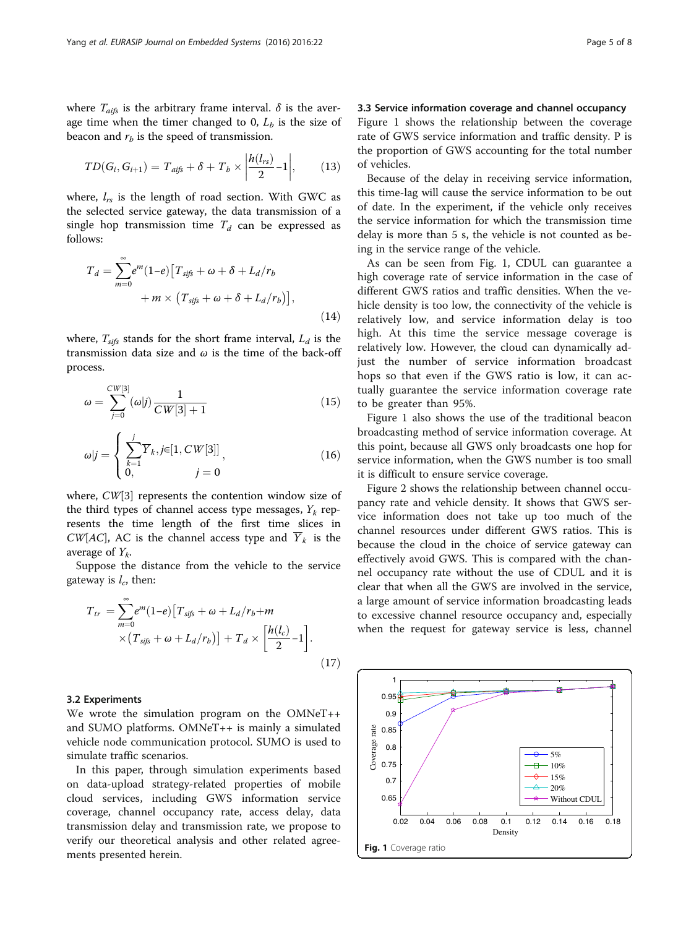where  $T_{\text{airs}}$  is the arbitrary frame interval.  $\delta$  is the average time when the timer changed to 0,  $L<sub>b</sub>$  is the size of beacon and  $r<sub>b</sub>$  is the speed of transmission.

$$
TD(G_i, G_{i+1}) = T_{\text{aifs}} + \delta + T_b \times \left| \frac{h(l_{rs})}{2} - 1 \right|, \quad (13)
$$

where,  $l_{rs}$  is the length of road section. With GWC as the selected service gateway, the data transmission of a single hop transmission time  $T_d$  can be expressed as follows:

$$
T_d = \sum_{m=0}^{\infty} e^m (1-e) \left[ T_{sijs} + \omega + \delta + L_d / r_b + m \times (T_{sijs} + \omega + \delta + L_d / r_b) \right],
$$
\n(14)

where,  $T_{sifs}$  stands for the short frame interval,  $L_d$  is the transmission data size and  $\omega$  is the time of the back-off process.

$$
\omega = \sum_{j=0}^{C W[3]} (\omega | j) \frac{1}{C W[3] + 1}
$$
\n(15)

$$
\omega|j = \begin{cases} \sum_{k=1}^{j} \overline{Y}_k, j \in [1, CW[3]] \\ 0, \qquad \qquad j = 0 \end{cases}
$$
 (16)

where, CW[[3\]](#page-7-0) represents the contention window size of the third types of channel access type messages,  $Y_k$  represents the time length of the first time slices in CW[AC], AC is the channel access type and  $\overline{Y}_k$  is the average of  $Y_k$ .

Suppose the distance from the vehicle to the service gateway is  $l_c$ , then:

$$
T_{tr} = \sum_{m=0}^{\infty} e^m (1-e) \left[ T_{sifs} + \omega + L_d / r_b + m \times (T_{sifs} + \omega + L_d / r_b) \right] + T_d \times \left[ \frac{h(l_c)}{2} - 1 \right].
$$
\n(17)

# 3.2 Experiments

We wrote the simulation program on the OMNeT++ and SUMO platforms. OMNeT++ is mainly a simulated vehicle node communication protocol. SUMO is used to simulate traffic scenarios.

In this paper, through simulation experiments based on data-upload strategy-related properties of mobile cloud services, including GWS information service coverage, channel occupancy rate, access delay, data transmission delay and transmission rate, we propose to verify our theoretical analysis and other related agreements presented herein.

3.3 Service information coverage and channel occupancy Figure 1 shows the relationship between the coverage rate of GWS service information and traffic density. P is the proportion of GWS accounting for the total number of vehicles.

Because of the delay in receiving service information, this time-lag will cause the service information to be out of date. In the experiment, if the vehicle only receives the service information for which the transmission time delay is more than 5 s, the vehicle is not counted as being in the service range of the vehicle.

As can be seen from Fig. 1, CDUL can guarantee a high coverage rate of service information in the case of different GWS ratios and traffic densities. When the vehicle density is too low, the connectivity of the vehicle is relatively low, and service information delay is too high. At this time the service message coverage is relatively low. However, the cloud can dynamically adjust the number of service information broadcast hops so that even if the GWS ratio is low, it can actually guarantee the service information coverage rate to be greater than 95%.

Figure 1 also shows the use of the traditional beacon broadcasting method of service information coverage. At this point, because all GWS only broadcasts one hop for service information, when the GWS number is too small it is difficult to ensure service coverage.

Figure [2](#page-5-0) shows the relationship between channel occupancy rate and vehicle density. It shows that GWS service information does not take up too much of the channel resources under different GWS ratios. This is because the cloud in the choice of service gateway can effectively avoid GWS. This is compared with the channel occupancy rate without the use of CDUL and it is clear that when all the GWS are involved in the service, a large amount of service information broadcasting leads to excessive channel resource occupancy and, especially when the request for gateway service is less, channel

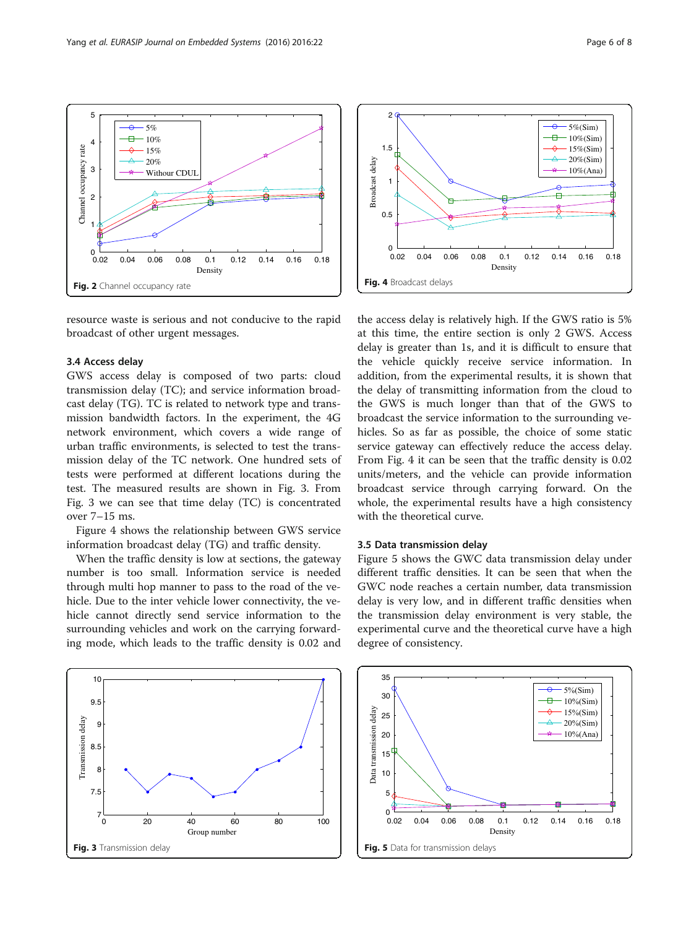<span id="page-5-0"></span>

resource waste is serious and not conducive to the rapid broadcast of other urgent messages.

### 3.4 Access delay

GWS access delay is composed of two parts: cloud transmission delay (TC); and service information broadcast delay (TG). TC is related to network type and transmission bandwidth factors. In the experiment, the 4G network environment, which covers a wide range of urban traffic environments, is selected to test the transmission delay of the TC network. One hundred sets of tests were performed at different locations during the test. The measured results are shown in Fig. 3. From Fig. 3 we can see that time delay (TC) is concentrated over 7–15 ms.

Figure 4 shows the relationship between GWS service information broadcast delay (TG) and traffic density.

When the traffic density is low at sections, the gateway number is too small. Information service is needed through multi hop manner to pass to the road of the vehicle. Due to the inter vehicle lower connectivity, the vehicle cannot directly send service information to the surrounding vehicles and work on the carrying forwarding mode, which leads to the traffic density is 0.02 and





the access delay is relatively high. If the GWS ratio is 5% at this time, the entire section is only 2 GWS. Access delay is greater than 1s, and it is difficult to ensure that the vehicle quickly receive service information. In addition, from the experimental results, it is shown that the delay of transmitting information from the cloud to the GWS is much longer than that of the GWS to broadcast the service information to the surrounding vehicles. So as far as possible, the choice of some static service gateway can effectively reduce the access delay. From Fig. 4 it can be seen that the traffic density is 0.02 units/meters, and the vehicle can provide information broadcast service through carrying forward. On the whole, the experimental results have a high consistency with the theoretical curve.

# 3.5 Data transmission delay

Figure 5 shows the GWC data transmission delay under different traffic densities. It can be seen that when the GWC node reaches a certain number, data transmission delay is very low, and in different traffic densities when the transmission delay environment is very stable, the experimental curve and the theoretical curve have a high degree of consistency.

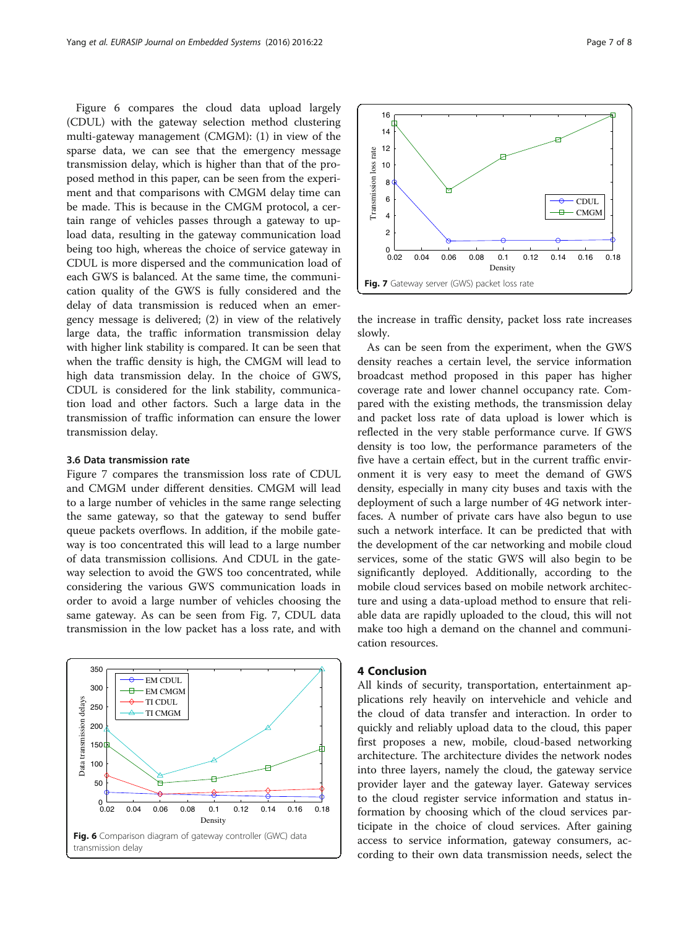Figure 6 compares the cloud data upload largely (CDUL) with the gateway selection method clustering multi-gateway management (CMGM): (1) in view of the sparse data, we can see that the emergency message transmission delay, which is higher than that of the proposed method in this paper, can be seen from the experiment and that comparisons with CMGM delay time can be made. This is because in the CMGM protocol, a certain range of vehicles passes through a gateway to upload data, resulting in the gateway communication load being too high, whereas the choice of service gateway in CDUL is more dispersed and the communication load of each GWS is balanced. At the same time, the communication quality of the GWS is fully considered and the delay of data transmission is reduced when an emergency message is delivered; (2) in view of the relatively large data, the traffic information transmission delay with higher link stability is compared. It can be seen that when the traffic density is high, the CMGM will lead to high data transmission delay. In the choice of GWS, CDUL is considered for the link stability, communication load and other factors. Such a large data in the transmission of traffic information can ensure the lower transmission delay.

#### 3.6 Data transmission rate

Figure 7 compares the transmission loss rate of CDUL and CMGM under different densities. CMGM will lead to a large number of vehicles in the same range selecting the same gateway, so that the gateway to send buffer queue packets overflows. In addition, if the mobile gateway is too concentrated this will lead to a large number of data transmission collisions. And CDUL in the gateway selection to avoid the GWS too concentrated, while considering the various GWS communication loads in order to avoid a large number of vehicles choosing the same gateway. As can be seen from Fig. 7, CDUL data transmission in the low packet has a loss rate, and with





the increase in traffic density, packet loss rate increases slowly.

As can be seen from the experiment, when the GWS density reaches a certain level, the service information broadcast method proposed in this paper has higher coverage rate and lower channel occupancy rate. Compared with the existing methods, the transmission delay and packet loss rate of data upload is lower which is reflected in the very stable performance curve. If GWS density is too low, the performance parameters of the five have a certain effect, but in the current traffic environment it is very easy to meet the demand of GWS density, especially in many city buses and taxis with the deployment of such a large number of 4G network interfaces. A number of private cars have also begun to use such a network interface. It can be predicted that with the development of the car networking and mobile cloud services, some of the static GWS will also begin to be significantly deployed. Additionally, according to the mobile cloud services based on mobile network architecture and using a data-upload method to ensure that reliable data are rapidly uploaded to the cloud, this will not make too high a demand on the channel and communication resources.

# 4 Conclusion

All kinds of security, transportation, entertainment applications rely heavily on intervehicle and vehicle and the cloud of data transfer and interaction. In order to quickly and reliably upload data to the cloud, this paper first proposes a new, mobile, cloud-based networking architecture. The architecture divides the network nodes into three layers, namely the cloud, the gateway service provider layer and the gateway layer. Gateway services to the cloud register service information and status information by choosing which of the cloud services participate in the choice of cloud services. After gaining access to service information, gateway consumers, according to their own data transmission needs, select the